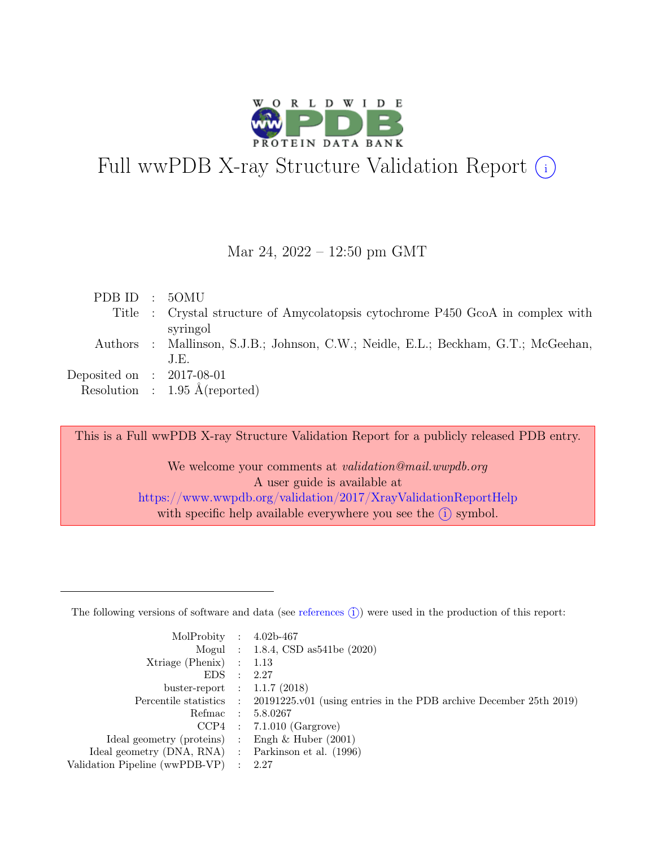

# Full wwPDB X-ray Structure Validation Report  $(i)$

Mar 24, 2022 – 12:50 pm GMT

| PDB ID : 50MU               |                                                                                    |
|-----------------------------|------------------------------------------------------------------------------------|
|                             | Title : Crystal structure of Amycolatopsis cytochrome P450 GcoA in complex with    |
|                             | syringol                                                                           |
|                             | Authors : Mallinson, S.J.B.; Johnson, C.W.; Neidle, E.L.; Beckham, G.T.; McGeehan, |
|                             | J.E.                                                                               |
| Deposited on : $2017-08-01$ |                                                                                    |
|                             | Resolution : $1.95 \text{ Å}$ (reported)                                           |

This is a Full wwPDB X-ray Structure Validation Report for a publicly released PDB entry.

We welcome your comments at *validation@mail.wwpdb.org* A user guide is available at <https://www.wwpdb.org/validation/2017/XrayValidationReportHelp> with specific help available everywhere you see the  $(i)$  symbol.

The following versions of software and data (see [references](https://www.wwpdb.org/validation/2017/XrayValidationReportHelp#references)  $(i)$ ) were used in the production of this report:

| MolProbity : $4.02b-467$                            |                                                                                            |
|-----------------------------------------------------|--------------------------------------------------------------------------------------------|
|                                                     | Mogul : $1.8.4$ , CSD as 541be $(2020)$                                                    |
| $Xtriangle (Phenix)$ : 1.13                         |                                                                                            |
| EDS : 2.27                                          |                                                                                            |
| buster-report : $1.1.7$ (2018)                      |                                                                                            |
|                                                     | Percentile statistics : 20191225.v01 (using entries in the PDB archive December 25th 2019) |
|                                                     | Refmac : 5.8.0267                                                                          |
|                                                     | $CCP4$ : 7.1.010 (Gargrove)                                                                |
| Ideal geometry (proteins) : Engh $\&$ Huber (2001)  |                                                                                            |
| Ideal geometry (DNA, RNA) : Parkinson et al. (1996) |                                                                                            |
| Validation Pipeline (wwPDB-VP) : 2.27               |                                                                                            |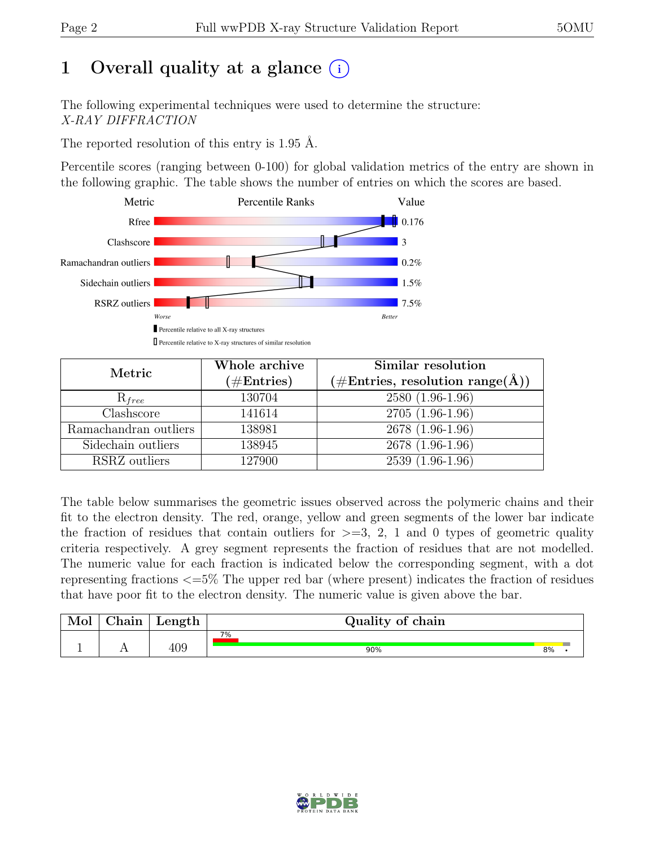## 1 Overall quality at a glance  $(i)$

The following experimental techniques were used to determine the structure: X-RAY DIFFRACTION

The reported resolution of this entry is 1.95 Å.

Percentile scores (ranging between 0-100) for global validation metrics of the entry are shown in the following graphic. The table shows the number of entries on which the scores are based.



| Metric                | Whole archive        | Similar resolution                                           |
|-----------------------|----------------------|--------------------------------------------------------------|
|                       | $(\#\text{Entries})$ | $(\# \text{Entries}, \text{ resolution } \text{range}(\AA))$ |
| $\mathrm{R}_{free}$   | 130704               | $2580(1.96-1.96)$                                            |
| Clashscore            | 141614               | $2705(1.96-1.96)$                                            |
| Ramachandran outliers | 138981               | 2678 (1.96-1.96)                                             |
| Sidechain outliers    | 138945               | 2678 (1.96-1.96)                                             |
| RSRZ outliers         | 127900               | 2539 (1.96-1.96)                                             |

The table below summarises the geometric issues observed across the polymeric chains and their fit to the electron density. The red, orange, yellow and green segments of the lower bar indicate the fraction of residues that contain outliers for  $\geq$ =3, 2, 1 and 0 types of geometric quality criteria respectively. A grey segment represents the fraction of residues that are not modelled. The numeric value for each fraction is indicated below the corresponding segment, with a dot representing fractions <=5% The upper red bar (where present) indicates the fraction of residues that have poor fit to the electron density. The numeric value is given above the bar.

| Mol | $\sim$ $\sim$<br>hain | Length | Quality of chain |    |  |
|-----|-----------------------|--------|------------------|----|--|
|     |                       |        | $7\%$            |    |  |
|     | <b>A A</b>            | 409    | 90%              | 8% |  |

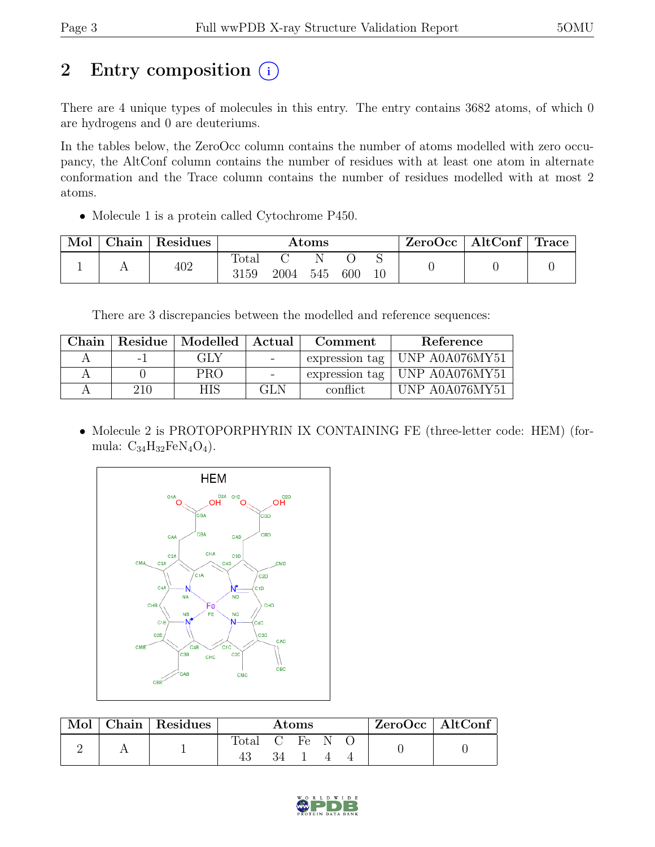## 2 Entry composition  $(i)$

There are 4 unique types of molecules in this entry. The entry contains 3682 atoms, of which 0 are hydrogens and 0 are deuteriums.

In the tables below, the ZeroOcc column contains the number of atoms modelled with zero occupancy, the AltConf column contains the number of residues with at least one atom in alternate conformation and the Trace column contains the number of residues modelled with at most 2 atoms.

• Molecule 1 is a protein called Cytochrome P450.

| Mol | Chain | Residues | $\rm{Atoms}$           |      |          |     | ZeroOcc | $\vert$ AltConf $\vert$ Trace $\vert$ |  |  |
|-----|-------|----------|------------------------|------|----------|-----|---------|---------------------------------------|--|--|
|     |       | 402      | $\text{Total}$<br>3159 | 2004 | N<br>545 | 600 |         |                                       |  |  |

There are 3 discrepancies between the modelled and reference sequences:

| Chain |     | Residue   Modelled   Actual |                                   | Comment  | Reference                         |
|-------|-----|-----------------------------|-----------------------------------|----------|-----------------------------------|
|       | - 1 | GLY                         | <b>Contract Contract Contract</b> |          | expression tag   UNP $A0A076MY51$ |
|       |     | <b>PRO</b>                  |                                   |          | expression tag   UNP $A0A076MY51$ |
|       | 210 | <b>HIS</b>                  | GLN                               | conflict | UNP A0A076MY51                    |

• Molecule 2 is PROTOPORPHYRIN IX CONTAINING FE (three-letter code: HEM) (formula:  $C_{34}H_{32}FeN_4O_4$ .



| Mol | Chain Residues | Atoms        |    |  |  | ZeroOcc   AltConf |  |  |
|-----|----------------|--------------|----|--|--|-------------------|--|--|
|     |                | Total C Fe N |    |  |  |                   |  |  |
|     |                |              | 34 |  |  |                   |  |  |

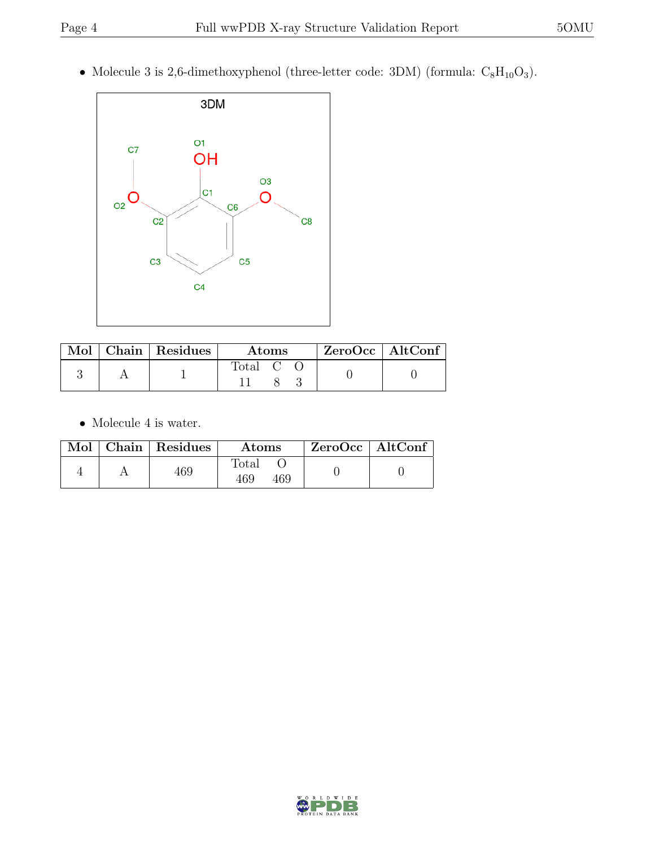• Molecule 3 is 2,6-dimethoxyphenol (three-letter code: 3DM) (formula:  $C_8H_{10}O_3$ ).



| Mol | $\vert$ Chain $\vert$ Residues | Atoms | $ZeroOcc$   AltConf |
|-----|--------------------------------|-------|---------------------|
|     |                                | fotal |                     |

 $\bullet\,$  Molecule 4 is water.

|  | Mol   Chain   Residues | <b>Atoms</b>                 | $ZeroOcc \mid AltConf \mid$ |
|--|------------------------|------------------------------|-----------------------------|
|  | 469                    | $\text{Total}$<br>469<br>469 |                             |

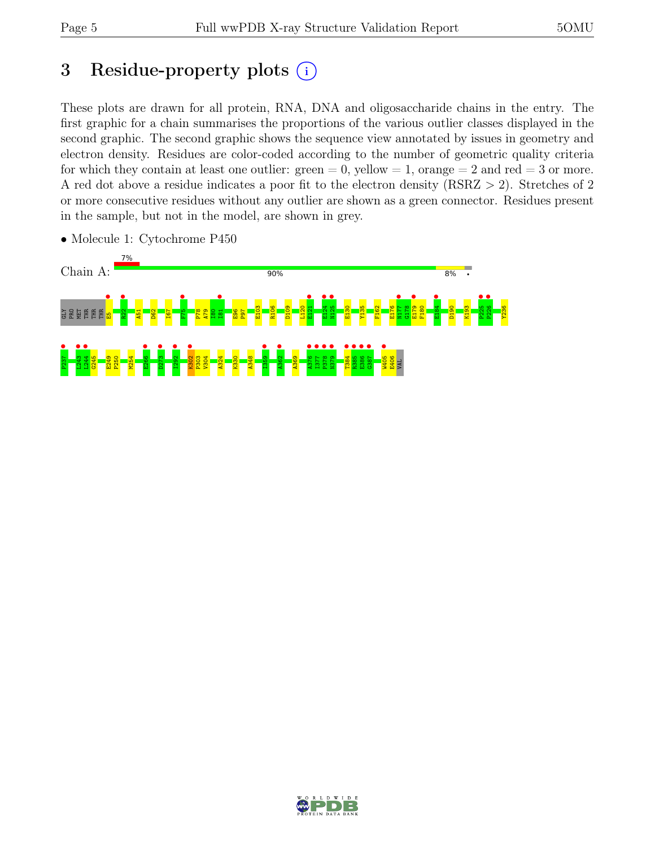## 3 Residue-property plots  $(i)$

These plots are drawn for all protein, RNA, DNA and oligosaccharide chains in the entry. The first graphic for a chain summarises the proportions of the various outlier classes displayed in the second graphic. The second graphic shows the sequence view annotated by issues in geometry and electron density. Residues are color-coded according to the number of geometric quality criteria for which they contain at least one outlier:  $green = 0$ , yellow  $= 1$ , orange  $= 2$  and red  $= 3$  or more. A red dot above a residue indicates a poor fit to the electron density (RSRZ > 2). Stretches of 2 or more consecutive residues without any outlier are shown as a green connector. Residues present in the sample, but not in the model, are shown in grey.



• Molecule 1: Cytochrome P450

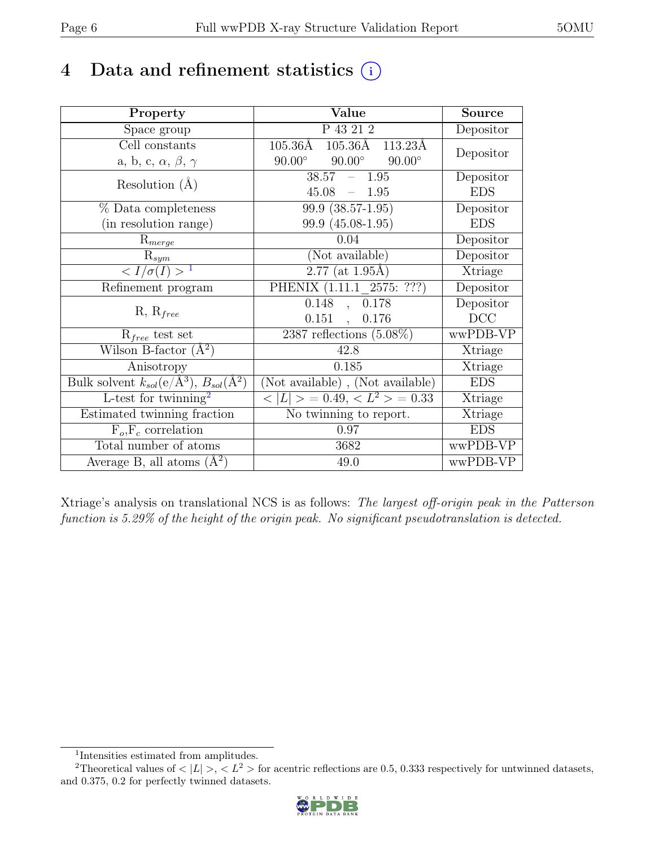## 4 Data and refinement statistics  $(i)$

| Property                                                             | Value                                           | <b>Source</b>                |
|----------------------------------------------------------------------|-------------------------------------------------|------------------------------|
| Space group                                                          | P 43 21 2                                       | Depositor                    |
| Cell constants                                                       | 105.36Å 105.36Å<br>113.23Å                      |                              |
| a, b, c, $\alpha$ , $\beta$ , $\gamma$                               | $90.00^\circ$<br>$90.00^\circ$<br>$90.00^\circ$ | Depositor                    |
| Resolution $(A)$                                                     | $38.57 - 1.95$                                  | Depositor                    |
|                                                                      | 45.08<br>$-1.95$                                | <b>EDS</b>                   |
| % Data completeness                                                  | $\overline{99.9}$ $(38.57-1.95)$                | Depositor                    |
| (in resolution range)                                                | 99.9 (45.08-1.95)                               | <b>EDS</b>                   |
| $R_{merge}$                                                          | 0.04                                            | Depositor                    |
| $\mathrm{R}_{sym}$                                                   | (Not available)                                 | Depositor                    |
| $\langle I/\sigma(I) \rangle$ <sup>1</sup>                           | $2.77$ (at 1.95Å)                               | Xtriage                      |
| Refinement program                                                   | PHENIX (1.11.1 2575: ???)                       | Depositor                    |
|                                                                      | 0.148<br>, 0.178                                | Depositor                    |
| $R, R_{free}$                                                        | $0.151$ ,<br>0.176                              | DCC                          |
| $R_{free}$ test set                                                  | 2387 reflections $(5.08\%)$                     | wwPDB-VP                     |
| Wilson B-factor $(\AA^2)$                                            | 42.8                                            | Xtriage                      |
| Anisotropy                                                           | 0.185                                           | Xtriage                      |
| Bulk solvent $k_{sol}(e/\mathring{A}^3)$ , $B_{sol}(\mathring{A}^2)$ | (Not available), (Not available)                | <b>EDS</b>                   |
| L-test for $\mathrm{twinning}^2$                                     | $< L >$ = 0.49, $< L^2 >$ = 0.33                | Xtriage                      |
| Estimated twinning fraction                                          | No twinning to report.                          | $\overline{\text{X}}$ triage |
| $F_o, F_c$ correlation                                               | 0.97                                            | <b>EDS</b>                   |
| Total number of atoms                                                | 3682                                            | wwPDB-VP                     |
| Average B, all atoms $(A^2)$                                         | 49.0                                            | wwPDB-VP                     |

Xtriage's analysis on translational NCS is as follows: The largest off-origin peak in the Patterson function is 5.29% of the height of the origin peak. No significant pseudotranslation is detected.

<sup>&</sup>lt;sup>2</sup>Theoretical values of  $\langle |L| \rangle$ ,  $\langle L^2 \rangle$  for acentric reflections are 0.5, 0.333 respectively for untwinned datasets, and 0.375, 0.2 for perfectly twinned datasets.



<span id="page-5-1"></span><span id="page-5-0"></span><sup>1</sup> Intensities estimated from amplitudes.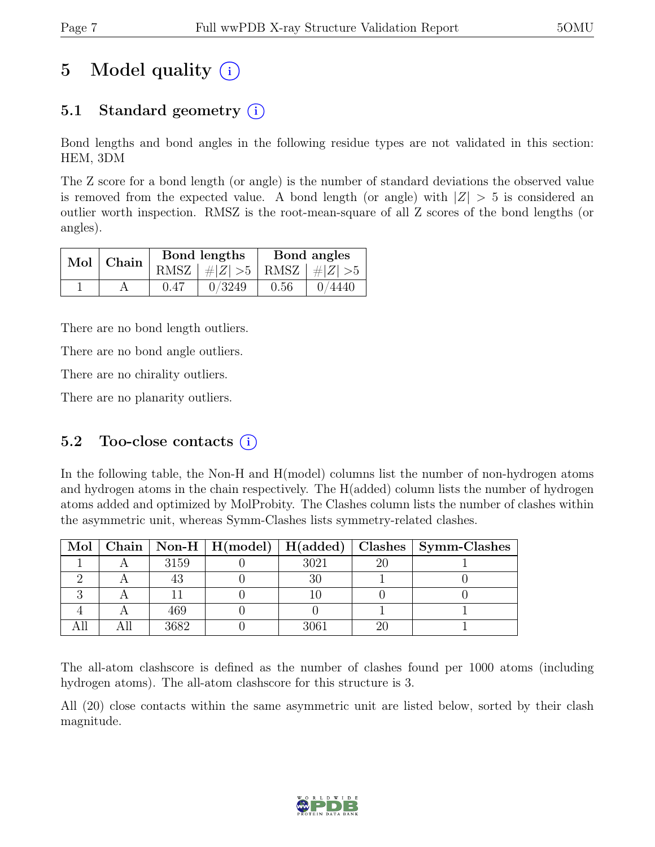## 5 Model quality  $(i)$

### 5.1 Standard geometry  $(i)$

Bond lengths and bond angles in the following residue types are not validated in this section: HEM, 3DM

The Z score for a bond length (or angle) is the number of standard deviations the observed value is removed from the expected value. A bond length (or angle) with  $|Z| > 5$  is considered an outlier worth inspection. RMSZ is the root-mean-square of all Z scores of the bond lengths (or angles).

| $Mol$   Chain $\overline{\phantom{a}}$ |      | Bond lengths                    | Bond angles |        |  |
|----------------------------------------|------|---------------------------------|-------------|--------|--|
|                                        |      | RMSZ $ #Z  > 5$ RMSZ $ #Z  > 5$ |             |        |  |
|                                        | 0.47 | 0/3249                          | 0.56        | 0/4440 |  |

There are no bond length outliers.

There are no bond angle outliers.

There are no chirality outliers.

There are no planarity outliers.

#### 5.2 Too-close contacts  $(i)$

In the following table, the Non-H and H(model) columns list the number of non-hydrogen atoms and hydrogen atoms in the chain respectively. The H(added) column lists the number of hydrogen atoms added and optimized by MolProbity. The Clashes column lists the number of clashes within the asymmetric unit, whereas Symm-Clashes lists symmetry-related clashes.

|  |      |      | Mol   Chain   Non-H   H(model)   H(added)   Clashes   Symm-Clashes |
|--|------|------|--------------------------------------------------------------------|
|  | 3159 | 3021 |                                                                    |
|  |      |      |                                                                    |
|  |      |      |                                                                    |
|  | 469  |      |                                                                    |
|  | 3682 | 3061 |                                                                    |

The all-atom clashscore is defined as the number of clashes found per 1000 atoms (including hydrogen atoms). The all-atom clashscore for this structure is 3.

All (20) close contacts within the same asymmetric unit are listed below, sorted by their clash magnitude.

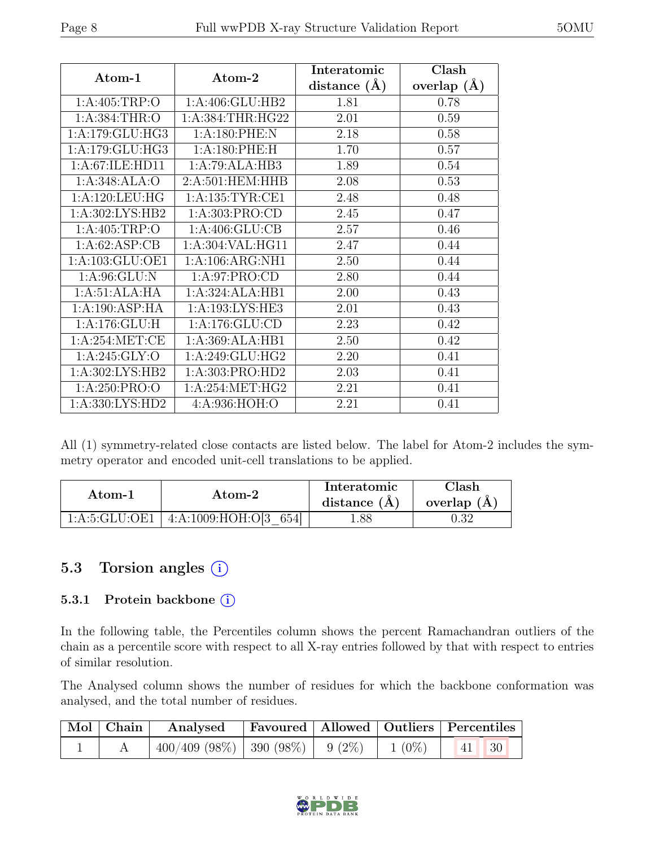| Atom-1              | Atom-2               | Interatomic      | Clash         |
|---------------------|----------------------|------------------|---------------|
|                     |                      | distance $(\AA)$ | overlap $(A)$ |
| 1: A:405:TRP:O      | 1:A:406:GLU:HB2      | 1.81             | 0.78          |
| 1: A: 384: THR:O    | 1: A: 384: THR: HG22 | 2.01             | 0.59          |
| 1:A:179:GLU:HG3     | 1:A:180:PHE:N        | 2.18             | 0.58          |
| 1:A:179:GLU:HG3     | 1: A:180: PHE: H     | 1.70             | 0.57          |
| 1:A:67:ILE:HD11     | 1:A:79:ALA:HB3       | 1.89             | 0.54          |
| 1:A:348:ALA:O       | 2:A:501:HEM:HHB      | 2.08             | 0.53          |
| 1:A:120:LEU:HG      | 1: A: 135: TYR: CE1  | 2.48             | 0.48          |
| 1: A:302: LYS: HB2  | 1:A:303:PRO:CD       | 2.45             | 0.47          |
| 1: A:405:TRP:O      | 1: A:406: GLU:CB     | 2.57             | 0.46          |
| 1:A:62:ASP:CB       | 1:A:304:VAL:HG11     | 2.47             | 0.44          |
| 1: A: 103: GLU: OE1 | 1: A:106: ARG:NH1    | 2.50             | 0.44          |
| 1:A:96:GLU:N        | 1:A:97:PRO:CD        | 2.80             | 0.44          |
| 1:A:51:ALA:HA       | 1:A:324:ALA:HB1      | 2.00             | 0.43          |
| 1:A:190:ASP:HA      | 1:A:193:LYS:HE3      | 2.01             | 0.43          |
| 1:A:176:GLU:H       | 1:A:176:GLU:CD       | 2.23             | 0.42          |
| 1: A:254: MET:CE    | 1:A:369:ALA:HB1      | 2.50             | 0.42          |
| 1: A:245: GLY:O     | 1: A:249: GLU: HG2   | 2.20             | 0.41          |
| 1:A:302:LYS:HB2     | 1:A:303:PRO:HD2      | 2.03             | 0.41          |
| 1:A:250:PRO:O       | 1: A:254: MET:HG2    | 2.21             | 0.41          |
| 1:A:330:LYS:HD2     | 4:A:936:HOH:O        | 2.21             | 0.41          |

All (1) symmetry-related close contacts are listed below. The label for Atom-2 includes the symmetry operator and encoded unit-cell translations to be applied.

| Atom-1          | Atom-2                   | Interatomic<br>distance $(A)$ | Clash<br>overlap $(A)$ |
|-----------------|--------------------------|-------------------------------|------------------------|
| 1: A:5: GLU:OE1 | 4:A:1009:HOH:O[3]<br>654 | l.88                          | ).32                   |

#### 5.3 Torsion angles (i)

#### 5.3.1 Protein backbone (i)

In the following table, the Percentiles column shows the percent Ramachandran outliers of the chain as a percentile score with respect to all X-ray entries followed by that with respect to entries of similar resolution.

The Analysed column shows the number of residues for which the backbone conformation was analysed, and the total number of residues.

|  | Mol Chain Analysed                                | <b>Favoured</b> Allowed Outliers Percentiles |  |           |  |
|--|---------------------------------------------------|----------------------------------------------|--|-----------|--|
|  | $400/409$ (98\%)   390 (98\%)   9 (2\%)   1 (0\%) |                                              |  | $ 41 $ 30 |  |

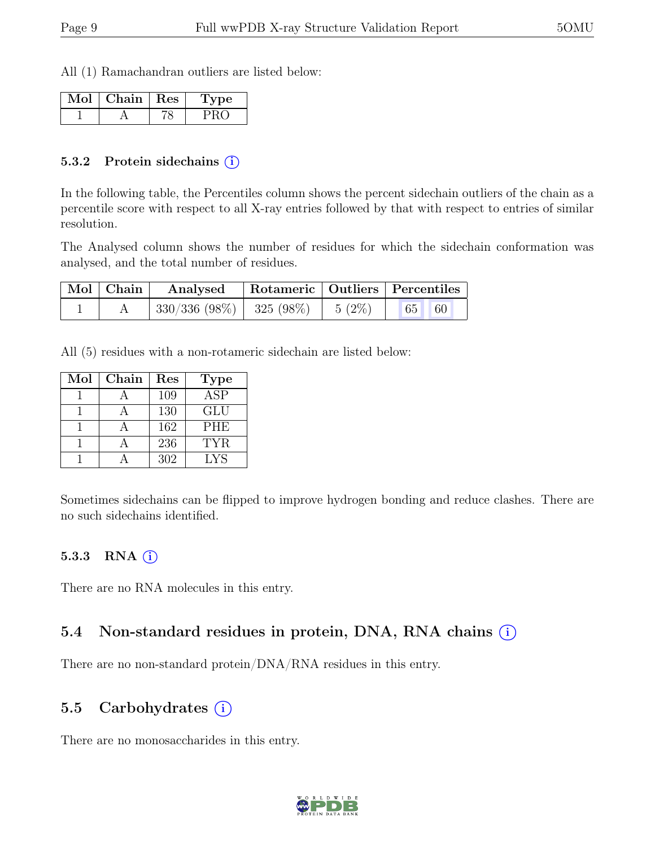All (1) Ramachandran outliers are listed below:

| Mol | Chain   Res | vpe |
|-----|-------------|-----|
|     |             |     |

#### 5.3.2 Protein sidechains (i)

In the following table, the Percentiles column shows the percent sidechain outliers of the chain as a percentile score with respect to all X-ray entries followed by that with respect to entries of similar resolution.

The Analysed column shows the number of residues for which the sidechain conformation was analysed, and the total number of residues.

| $\mid$ Mol $\mid$ Chain $\mid$ | Analysed                                | Rotameric   Outliers   Percentiles |       |  |
|--------------------------------|-----------------------------------------|------------------------------------|-------|--|
|                                | $330/336$ (98\%)   325 (98\%)   5 (2\%) |                                    | 65 60 |  |

All (5) residues with a non-rotameric sidechain are listed below:

| Mol | Chain | $\operatorname{Res}% \left( \mathcal{N}\right) \equiv\operatorname{Res}(\mathcal{N}_{0})\cap\mathcal{N}_{1}$ | <b>Type</b>             |
|-----|-------|--------------------------------------------------------------------------------------------------------------|-------------------------|
|     |       | 109                                                                                                          | $\overline{\text{ASP}}$ |
|     |       | 130                                                                                                          | <b>GLU</b>              |
|     |       | 162                                                                                                          | <b>PHE</b>              |
|     |       | 236                                                                                                          | <b>TYR</b>              |
|     |       | 302                                                                                                          | <b>LYS</b>              |

Sometimes sidechains can be flipped to improve hydrogen bonding and reduce clashes. There are no such sidechains identified.

#### 5.3.3 RNA  $(i)$

There are no RNA molecules in this entry.

#### 5.4 Non-standard residues in protein, DNA, RNA chains  $(i)$

There are no non-standard protein/DNA/RNA residues in this entry.

#### 5.5 Carbohydrates  $(i)$

There are no monosaccharides in this entry.

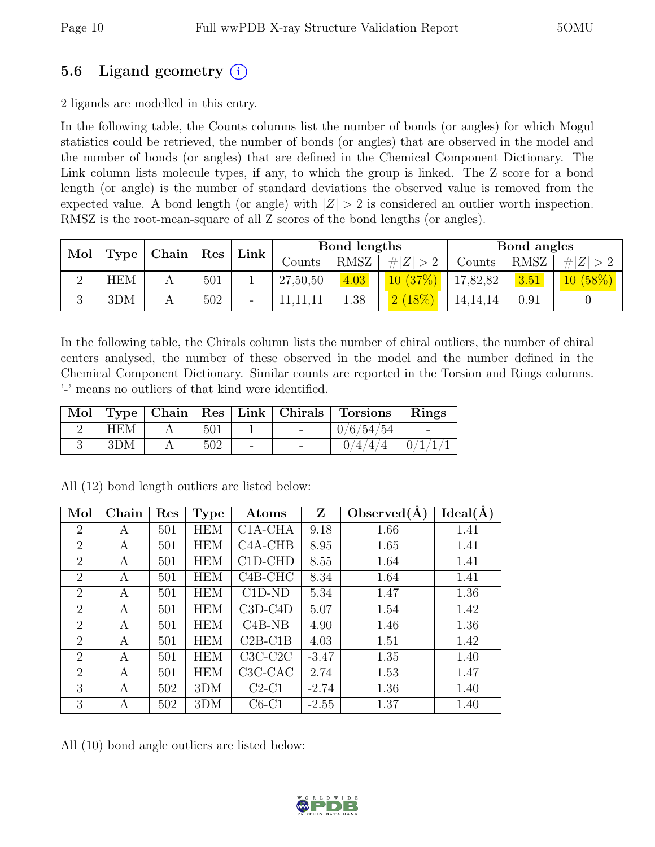### 5.6 Ligand geometry  $(i)$

2 ligands are modelled in this entry.

In the following table, the Counts columns list the number of bonds (or angles) for which Mogul statistics could be retrieved, the number of bonds (or angles) that are observed in the model and the number of bonds (or angles) that are defined in the Chemical Component Dictionary. The Link column lists molecule types, if any, to which the group is linked. The Z score for a bond length (or angle) is the number of standard deviations the observed value is removed from the expected value. A bond length (or angle) with  $|Z| > 2$  is considered an outlier worth inspection. RMSZ is the root-mean-square of all Z scores of the bond lengths (or angles).

| Mol      | Chain<br>$\vert$ Res |  |     |                          | Bond lengths |      |             |            | Bond angles |             |
|----------|----------------------|--|-----|--------------------------|--------------|------|-------------|------------|-------------|-------------|
|          | Type                 |  |     | Link                     | Counts       | RMSZ | # $ Z  > 2$ | Counts     | <b>RMSZ</b> | # $ Z  > 2$ |
| $\Omega$ | <b>HEM</b>           |  | 501 |                          | 27,50,50     | 4.03 | 10(37%)     | 17,82,82   | 3.51        | 10(58%)     |
| 2        | 3DM                  |  | 502 | $\overline{\phantom{0}}$ |              | 1.38 | $2(18\%)$   | 14, 14, 14 | 0.91        |             |

In the following table, the Chirals column lists the number of chiral outliers, the number of chiral centers analysed, the number of these observed in the model and the number defined in the Chemical Component Dictionary. Similar counts are reported in the Torsion and Rings columns. '-' means no outliers of that kind were identified.

|            |     |  | Mol   Type   Chain   Res   Link   Chirals   Torsions | Rings |
|------------|-----|--|------------------------------------------------------|-------|
| <b>HEM</b> | 501 |  | 0/6/54/54                                            |       |
| 3DM        | 502 |  | 0/4/4/4                                              |       |

| Mol            | Chain | Res | <b>Type</b>      | Atoms                            | Z       | Observed $(A)$ | Ideal(A) |
|----------------|-------|-----|------------------|----------------------------------|---------|----------------|----------|
| $\overline{2}$ | А     | 501 | <b>HEM</b>       | $C1A-CHA$                        | 9.18    | 1.66           | 1.41     |
| 2              | A     | 501 | <b>HEM</b>       | C <sub>4</sub> A <sub>-CHB</sub> | 8.95    | 1.65           | 1.41     |
| $\overline{2}$ | А     | 501 | <b>HEM</b>       | $C1D-CHD$                        | 8.55    | 1.64           | 1.41     |
| $\overline{2}$ | А     | 501 | <b>HEM</b>       | $C4B-CHC$                        | 8.34    | 1.64           | 1.41     |
| $\overline{2}$ | А     | 501 | <b>HEM</b>       | $C1D-ND$                         | 5.34    | 1.47           | 1.36     |
| $\overline{2}$ | А     | 501 | <b>HEM</b>       | $C3D-C4D$                        | 5.07    | 1.54           | 1.42     |
| $\overline{2}$ | А     | 501 | <b>HEM</b>       | $C4B-NB$                         | 4.90    | 1.46           | 1.36     |
| $\overline{2}$ | А     | 501 | <b>HEM</b>       | $C2B-C1B$                        | 4.03    | 1.51           | 1.42     |
| $\overline{2}$ | А     | 501 | <b>HEM</b>       | $C3C-C2C$                        | $-3.47$ | 1.35           | 1.40     |
| $\overline{2}$ | А     | 501 | <b>HEM</b>       | C <sub>3</sub> C <sub>-CAC</sub> | 2.74    | 1.53           | 1.47     |
| 3              | А     | 502 | 3DM              | $C2-C1$                          | $-2.74$ | 1.36           | 1.40     |
| 3              | A     | 502 | 3 <sub>D</sub> M | $C6-C1$                          | $-2.55$ | 1.37           | 1.40     |

All (12) bond length outliers are listed below:

All (10) bond angle outliers are listed below:

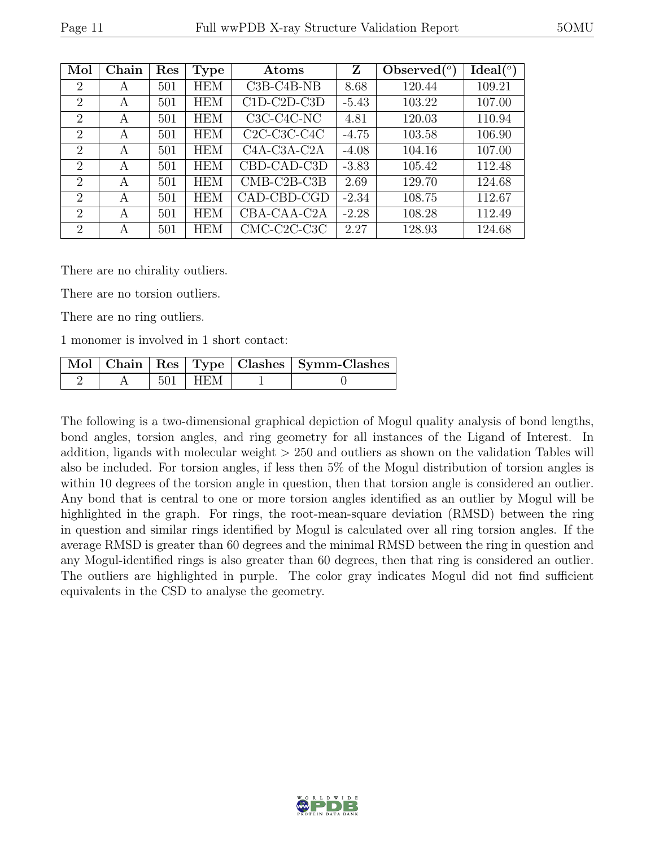| Mol            | Chain | Res | <b>Type</b> | Atoms                                              | Z       | Observed $\binom{o}{c}$ | Ideal $(°)$ |
|----------------|-------|-----|-------------|----------------------------------------------------|---------|-------------------------|-------------|
| $\overline{2}$ | А     | 501 | <b>HEM</b>  | $C3B-C4B-NB$                                       | 8.68    | 120.44                  | 109.21      |
| $\overline{2}$ | А     | 501 | <b>HEM</b>  | $C1D-C2D-C3D$                                      | $-5.43$ | 103.22                  | 107.00      |
| $\overline{2}$ | A     | 501 | <b>HEM</b>  | C3C-C4C-NC                                         | 4.81    | 120.03                  | 110.94      |
| $\overline{2}$ | A     | 501 | <b>HEM</b>  | C <sub>2</sub> C-C <sub>3</sub> C-C <sub>4</sub> C | $-4.75$ | 103.58                  | 106.90      |
| $\overline{2}$ | A     | 501 | <b>HEM</b>  | C <sub>4</sub> A-C <sub>3</sub> A-C <sub>2</sub> A | $-4.08$ | 104.16                  | 107.00      |
| $\overline{2}$ | A     | 501 | <b>HEM</b>  | CBD-CAD-C3D                                        | $-3.83$ | 105.42                  | 112.48      |
| $\overline{2}$ | A     | 501 | <b>HEM</b>  | $CMB-C2B-C3B$                                      | 2.69    | 129.70                  | 124.68      |
| $\overline{2}$ | A     | 501 | <b>HEM</b>  | CAD-CBD-CGD                                        | $-2.34$ | 108.75                  | 112.67      |
| $\overline{2}$ | А     | 501 | <b>HEM</b>  | CBA-CAA-C2A                                        | $-2.28$ | 108.28                  | 112.49      |
| $\overline{2}$ | А     | 501 | <b>HEM</b>  | CMC-C2C-C3C                                        | 2.27    | 128.93                  | 124.68      |

There are no chirality outliers.

There are no torsion outliers.

There are no ring outliers.

1 monomer is involved in 1 short contact:

|  |             | Mol   Chain   Res   Type   Clashes   Symm-Clashes |
|--|-------------|---------------------------------------------------|
|  | $501$   HEM |                                                   |

The following is a two-dimensional graphical depiction of Mogul quality analysis of bond lengths, bond angles, torsion angles, and ring geometry for all instances of the Ligand of Interest. In addition, ligands with molecular weight > 250 and outliers as shown on the validation Tables will also be included. For torsion angles, if less then 5% of the Mogul distribution of torsion angles is within 10 degrees of the torsion angle in question, then that torsion angle is considered an outlier. Any bond that is central to one or more torsion angles identified as an outlier by Mogul will be highlighted in the graph. For rings, the root-mean-square deviation (RMSD) between the ring in question and similar rings identified by Mogul is calculated over all ring torsion angles. If the average RMSD is greater than 60 degrees and the minimal RMSD between the ring in question and any Mogul-identified rings is also greater than 60 degrees, then that ring is considered an outlier. The outliers are highlighted in purple. The color gray indicates Mogul did not find sufficient equivalents in the CSD to analyse the geometry.

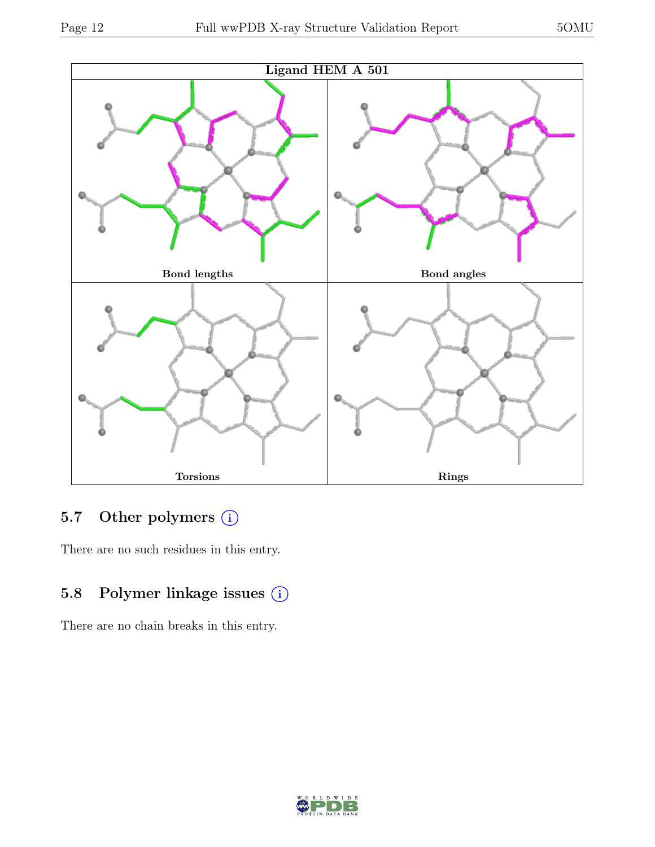

### 5.7 Other polymers (i)

There are no such residues in this entry.

### 5.8 Polymer linkage issues (i)

There are no chain breaks in this entry.

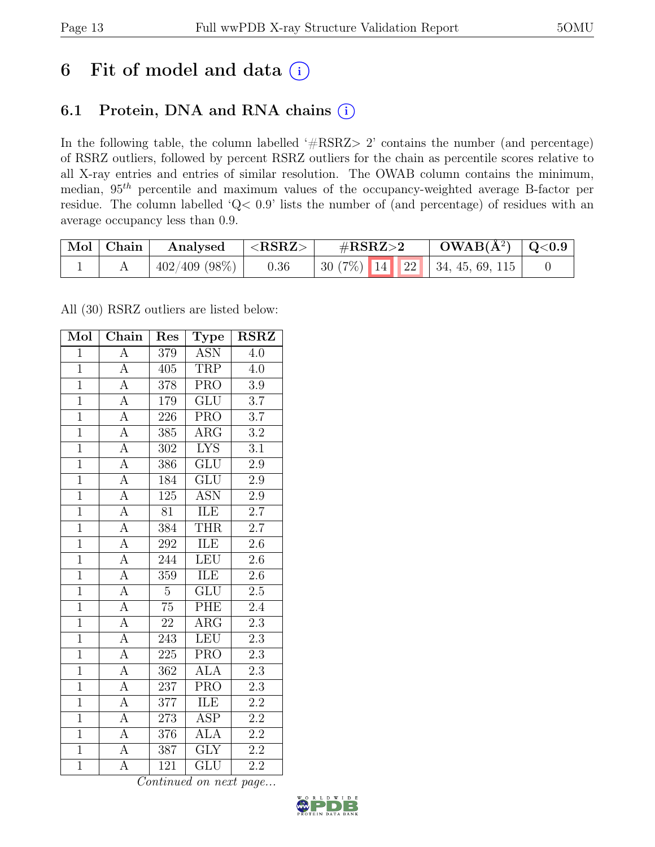## 6 Fit of model and data  $(i)$

### 6.1 Protein, DNA and RNA chains (i)

In the following table, the column labelled ' $\#\text{RSRZ}>2$ ' contains the number (and percentage) of RSRZ outliers, followed by percent RSRZ outliers for the chain as percentile scores relative to all X-ray entries and entries of similar resolution. The OWAB column contains the minimum, median,  $95<sup>th</sup>$  percentile and maximum values of the occupancy-weighted average B-factor per residue. The column labelled 'Q< 0.9' lists the number of (and percentage) of residues with an average occupancy less than 0.9.

| Mol Chain | Analysed        | $^+$ <rsrz></rsrz> | $\#\text{RSRZ}\text{>2}$                                 | $\text{OWAB}(\text{A}^2)$   Q<0.9 |  |
|-----------|-----------------|--------------------|----------------------------------------------------------|-----------------------------------|--|
|           | $402/409$ (98%) | 0.36               | $\mid 30(7\%) \mid 14 \mid 22 \mid 34, 45, 69, 115 \mid$ |                                   |  |

All (30) RSRZ outliers are listed below:

| Mol            | $\overline{\text{Chain}}$ | Res              | <b>Type</b>             | <b>RSRZ</b>      |  |
|----------------|---------------------------|------------------|-------------------------|------------------|--|
| $\mathbf{1}$   | $\overline{A}$            | 379              | <b>ASN</b>              | 4.0              |  |
| $\mathbf{1}$   | $\overline{A}$            | 405              | TRP                     | 4.0              |  |
| $\overline{1}$ | $\overline{A}$            | 378              | $\overline{\text{PRO}}$ | $\overline{3.9}$ |  |
| $\overline{1}$ | $\overline{A}$            | 179              | ${\rm GLU}$             | $\overline{3.7}$ |  |
| $\overline{1}$ | $\overline{A}$            | $\overline{226}$ | $\overline{\text{PRO}}$ | $\overline{3.7}$ |  |
| $\overline{1}$ | $\overline{A}$            | 385              | $\rm{ARG}$              | $\overline{3.2}$ |  |
| $\overline{1}$ | $\overline{A}$            | 302              | <b>LYS</b>              | $\overline{3.1}$ |  |
| $\overline{1}$ | $\overline{A}$            | 386              | <b>GLU</b>              | 2.9              |  |
| $\mathbf{1}$   | $\overline{A}$            | 184              | GLU                     | $2.9\,$          |  |
| $\overline{1}$ | $\overline{A}$            | $125\,$          | <b>ASN</b>              | $2.9\,$          |  |
| $\mathbf{1}$   | $\overline{A}$            | 81               | ILE                     | $\overline{2.7}$ |  |
| $\overline{1}$ | $\overline{A}$            | 384              | <b>THR</b>              | 2.7              |  |
| $\overline{1}$ | $\overline{A}$            | 292              | ILE                     | $2.6\,$          |  |
| $\overline{1}$ | $\overline{A}$            | 244              | <b>LEU</b>              | $2.6\,$          |  |
| $\overline{1}$ | $\overline{A}$            | 359              | <b>ILE</b>              | $\overline{2.6}$ |  |
| $\mathbf{1}$   | $\overline{A}$            | $\overline{5}$   | $\overline{\text{GLU}}$ | $2.5\,$          |  |
| $\overline{1}$ | $\overline{A}$            | $\overline{75}$  | PHE                     | $\overline{2.4}$ |  |
| $\overline{1}$ | $\overline{A}$            | $\overline{22}$  | $\rm{ARG}$              | 2.3              |  |
| $\mathbf{1}$   | $\overline{A}$            | 243              | <b>LEU</b>              | 2.3              |  |
| $\overline{1}$ | $\overline{A}$            | 225              | <b>PRO</b>              | $2.3\,$          |  |
| $\mathbf{1}$   | $\overline{A}$            | 362              | <b>ALA</b>              | $2.3\,$          |  |
| $\overline{1}$ | $\overline{A}$            | $\overline{237}$ | $\overline{\text{PRO}}$ | $\overline{2.3}$ |  |
| $\mathbf{1}$   | $\boldsymbol{\rm{A}}$     | 377              | ILE                     | $2.2\,$          |  |
| $\overline{1}$ | $\overline{A}$            | 273              | $\overline{\text{ASP}}$ | $\overline{2.2}$ |  |
| $\overline{1}$ | $\overline{A}$            | 376              | <b>ALA</b>              | $\overline{2.2}$ |  |
| $\overline{1}$ | $\boldsymbol{\rm{A}}$     | 387              | $\overline{\text{GLY}}$ | $\overline{2.2}$ |  |
| $\overline{1}$ | $\overline{A}$            | 121              | $\overline{{\rm GLU}}$  | $\overline{2.2}$ |  |

Continued on next page...

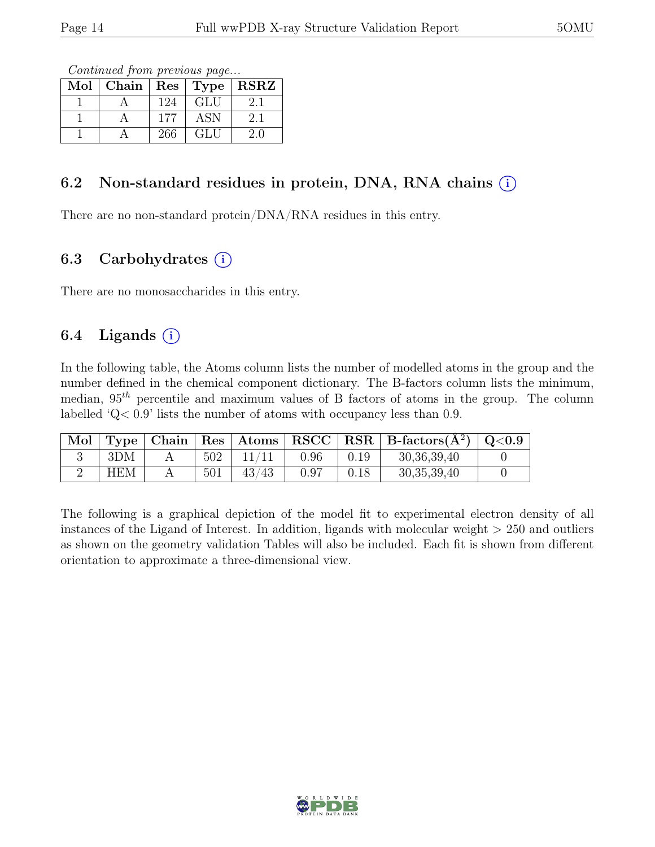Continued from previous page...

| Mol |     |            | Chain   $\text{Res}$   $\text{Type}$   $\text{RSRZ}$ |
|-----|-----|------------|------------------------------------------------------|
|     | 124 | <b>GLU</b> | 2.1                                                  |
|     | 177 | ASN        | 2.1                                                  |
|     | 266 | GLU        | 2.0                                                  |

#### 6.2 Non-standard residues in protein, DNA, RNA chains  $(i)$

There are no non-standard protein/DNA/RNA residues in this entry.

#### 6.3 Carbohydrates  $(i)$

There are no monosaccharides in this entry.

#### 6.4 Ligands  $(i)$

In the following table, the Atoms column lists the number of modelled atoms in the group and the number defined in the chemical component dictionary. The B-factors column lists the minimum, median,  $95<sup>th</sup>$  percentile and maximum values of B factors of atoms in the group. The column labelled 'Q< 0.9' lists the number of atoms with occupancy less than 0.9.

| $\mod$ $\mid$ |            |     |       |      |      | Type   Chain   Res   Atoms   RSCC   RSR   B-factors $(A^2)$   Q<0.9 |  |
|---------------|------------|-----|-------|------|------|---------------------------------------------------------------------|--|
|               | 3DM        | 502 | 11/11 | 0.96 | 0.19 | 30, 36, 39, 40                                                      |  |
|               | <b>HEM</b> | 501 | 43/43 | 0.97 | 0.18 | 30, 35, 39, 40                                                      |  |

The following is a graphical depiction of the model fit to experimental electron density of all instances of the Ligand of Interest. In addition, ligands with molecular weight > 250 and outliers as shown on the geometry validation Tables will also be included. Each fit is shown from different orientation to approximate a three-dimensional view.